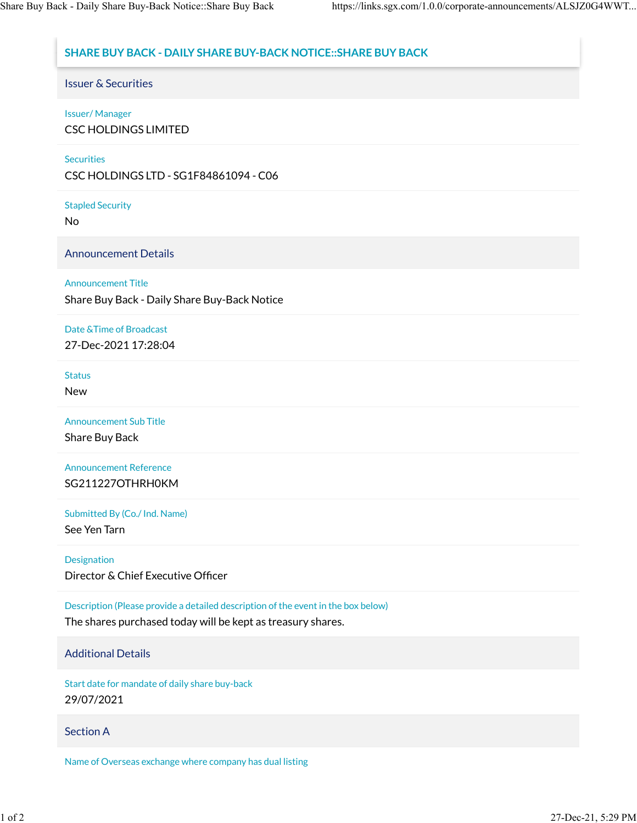## **SHARE BUY BACK - DAILY SHARE BUY-BACK NOTICE::SHARE BUY BACK**

Issuer & Securities

## Issuer/ Manager

CSC HOLDINGS LIMITED

## **Securities**

CSC HOLDINGS LTD - SG1F84861094 - C06

Stapled Security

No

Announcement Details

## Announcement Title

Share Buy Back - Daily Share Buy-Back Notice

# Date &Time of Broadcast

27-Dec-2021 17:28:04

#### **Status**

New

Announcement Sub Title

Share Buy Back

Announcement Reference SG211227OTHRH0KM

Submitted By (Co./ Ind. Name)

See Yen Tarn

Designation

Director & Chief Executive Officer

Description (Please provide a detailed description of the event in the box below)

The shares purchased today will be kept as treasury shares.

## Additional Details

Start date for mandate of daily share buy-back 29/07/2021

#### Section A

Name of Overseas exchange where company has dual listing